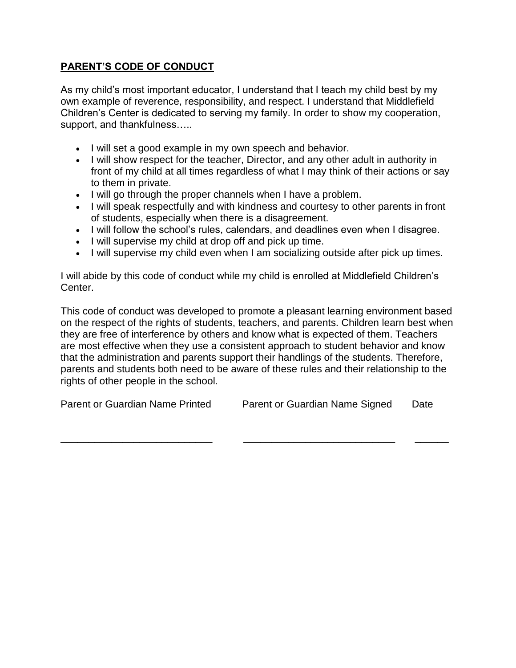## **PARENT'S CODE OF CONDUCT**

As my child's most important educator, I understand that I teach my child best by my own example of reverence, responsibility, and respect. I understand that Middlefield Children's Center is dedicated to serving my family. In order to show my cooperation, support, and thankfulness.....

- I will set a good example in my own speech and behavior.
- I will show respect for the teacher, Director, and any other adult in authority in front of my child at all times regardless of what I may think of their actions or say to them in private.
- I will go through the proper channels when I have a problem.
- I will speak respectfully and with kindness and courtesy to other parents in front of students, especially when there is a disagreement.
- I will follow the school's rules, calendars, and deadlines even when I disagree.
- I will supervise my child at drop off and pick up time.
- I will supervise my child even when I am socializing outside after pick up times.

I will abide by this code of conduct while my child is enrolled at Middlefield Children's Center.

This code of conduct was developed to promote a pleasant learning environment based on the respect of the rights of students, teachers, and parents. Children learn best when they are free of interference by others and know what is expected of them. Teachers are most effective when they use a consistent approach to student behavior and know that the administration and parents support their handlings of the students. Therefore, parents and students both need to be aware of these rules and their relationship to the rights of other people in the school.

\_\_\_\_\_\_\_\_\_\_\_\_\_\_\_\_\_\_\_\_\_\_\_\_\_\_\_ \_\_\_\_\_\_\_\_\_\_\_\_\_\_\_\_\_\_\_\_\_\_\_\_\_\_\_ \_\_\_\_\_\_

Parent or Guardian Name Printed Parent or Guardian Name Signed Date